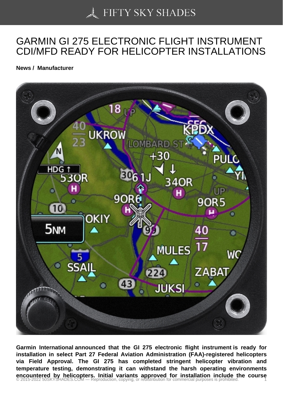## [GARMIN GI 275 ELEC](https://50skyshades.com)TRONIC FLIGHT INSTRUMENT CDI/MFD READY FOR HELICOPTER INSTALLATIONS

News / Manufacturer

Garmin International announced that the GI 275 electronic flight instrument is ready for installation in select Part 27 Federal Aviation Administration (FAA)-registered helicopters via Field Approval. The GI 275 has completed stringent helicopter vibration and temperature testing, demonstrating it can withstand the harsh operating environments encountered by helicopters. Initial variants approved for installation include the course<br>© 2015-2022 50SKYSHADES.COM — Reproduction, copying, or redistribution for commercial purposes is prohibited.